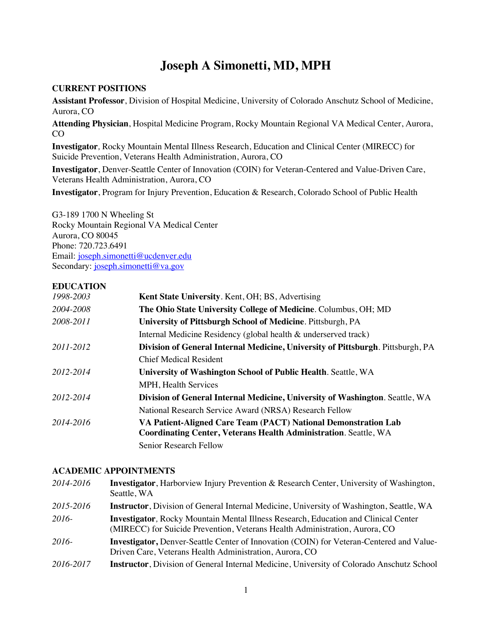# **Joseph A Simonetti, MD, MPH**

#### **CURRENT POSITIONS**

**Assistant Professor**, Division of Hospital Medicine, University of Colorado Anschutz School of Medicine, Aurora, CO

**Attending Physician**, Hospital Medicine Program, Rocky Mountain Regional VA Medical Center, Aurora, CO

**Investigator***,* Rocky Mountain Mental Illness Research, Education and Clinical Center (MIRECC) for Suicide Prevention, Veterans Health Administration, Aurora, CO

**Investigator**, Denver-Seattle Center of Innovation (COIN) for Veteran-Centered and Value-Driven Care, Veterans Health Administration, Aurora, CO

**Investigator**, Program for Injury Prevention, Education & Research, Colorado School of Public Health

G3-189 1700 N Wheeling St Rocky Mountain Regional VA Medical Center Aurora, CO 80045 Phone: 720.723.6491 Email: joseph.simonetti@ucdenver.edu Secondary: joseph.simonetti@va.gov

#### **EDUCATION**

| 1998-2003 | <b>Kent State University.</b> Kent, OH; BS, Advertising                         |
|-----------|---------------------------------------------------------------------------------|
| 2004-2008 | The Ohio State University College of Medicine. Columbus, OH; MD                 |
| 2008-2011 | University of Pittsburgh School of Medicine. Pittsburgh, PA                     |
|           | Internal Medicine Residency (global health & underserved track)                 |
| 2011-2012 | Division of General Internal Medicine, University of Pittsburgh. Pittsburgh, PA |
|           | <b>Chief Medical Resident</b>                                                   |
| 2012-2014 | University of Washington School of Public Health. Seattle, WA                   |
|           | <b>MPH, Health Services</b>                                                     |
| 2012-2014 | Division of General Internal Medicine, University of Washington. Seattle, WA    |
|           | National Research Service Award (NRSA) Research Fellow                          |
| 2014-2016 | VA Patient-Aligned Care Team (PACT) National Demonstration Lab                  |
|           | <b>Coordinating Center, Veterans Health Administration. Seattle, WA</b>         |
|           | Senior Research Fellow                                                          |

#### **ACADEMIC APPOINTMENTS**

| 2014-2016 | <b>Investigator</b> , Harborview Injury Prevention & Research Center, University of Washington,<br>Seattle, WA                                                            |
|-----------|---------------------------------------------------------------------------------------------------------------------------------------------------------------------------|
| 2015-2016 | <b>Instructor</b> , Division of General Internal Medicine, University of Washington, Seattle, WA                                                                          |
| $2016-$   | <b>Investigator, Rocky Mountain Mental Illness Research, Education and Clinical Center</b><br>(MIRECC) for Suicide Prevention, Veterans Health Administration, Aurora, CO |
| 2016-     | <b>Investigator, Denver-Seattle Center of Innovation (COIN) for Veteran-Centered and Value-</b><br>Driven Care, Veterans Health Administration, Aurora, CO                |
| 2016-2017 | Instructor, Division of General Internal Medicine, University of Colorado Anschutz School                                                                                 |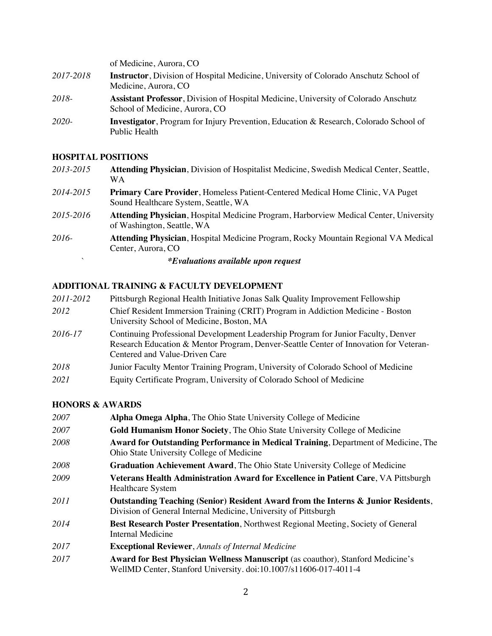of Medicine, Aurora, CO *2017-2018* **Instructor**, Division of Hospital Medicine, University of Colorado Anschutz School of Medicine, Aurora, CO *2018-* **Assistant Professor**, Division of Hospital Medicine, University of Colorado Anschutz School of Medicine, Aurora, CO *2020-* **Investigator**, Program for Injury Prevention, Education & Research, Colorado School of Public Health

### **HOSPITAL POSITIONS**

| 2013-2015 | Attending Physician, Division of Hospitalist Medicine, Swedish Medical Center, Seattle,<br><b>WA</b>                          |
|-----------|-------------------------------------------------------------------------------------------------------------------------------|
| 2014-2015 | <b>Primary Care Provider, Homeless Patient-Centered Medical Home Clinic, VA Puget</b><br>Sound Healthcare System, Seattle, WA |
| 2015-2016 | <b>Attending Physician, Hospital Medicine Program, Harborview Medical Center, University</b><br>of Washington, Seattle, WA    |
| 2016-     | <b>Attending Physician, Hospital Medicine Program, Rocky Mountain Regional VA Medical</b><br>Center, Aurora, CO               |
|           | <i>*Evaluations available upon request</i>                                                                                    |

#### **ADDITIONAL TRAINING & FACULTY DEVELOPMENT**

| 2011-2012 | Pittsburgh Regional Health Initiative Jonas Salk Quality Improvement Fellowship                                                                                                                              |
|-----------|--------------------------------------------------------------------------------------------------------------------------------------------------------------------------------------------------------------|
| 2012      | Chief Resident Immersion Training (CRIT) Program in Addiction Medicine - Boston<br>University School of Medicine, Boston, MA                                                                                 |
| 2016-17   | Continuing Professional Development Leadership Program for Junior Faculty, Denver<br>Research Education & Mentor Program, Denver-Seattle Center of Innovation for Veteran-<br>Centered and Value-Driven Care |
| 2018      | Junior Faculty Mentor Training Program, University of Colorado School of Medicine                                                                                                                            |
| 2021      | Equity Certificate Program, University of Colorado School of Medicine                                                                                                                                        |

#### **HONORS & AWARDS**

| 2007        | Alpha Omega Alpha, The Ohio State University College of Medicine                                                                                            |
|-------------|-------------------------------------------------------------------------------------------------------------------------------------------------------------|
| 2007        | Gold Humanism Honor Society, The Ohio State University College of Medicine                                                                                  |
| 2008        | Award for Outstanding Performance in Medical Training, Department of Medicine, The<br>Ohio State University College of Medicine                             |
| <i>2008</i> | Graduation Achievement Award, The Ohio State University College of Medicine                                                                                 |
| 2009        | Veterans Health Administration Award for Excellence in Patient Care, VA Pittsburgh<br><b>Healthcare System</b>                                              |
| 2011        | Outstanding Teaching (Senior) Resident Award from the Interns & Junior Residents,<br>Division of General Internal Medicine, University of Pittsburgh        |
| 2014        | <b>Best Research Poster Presentation, Northwest Regional Meeting, Society of General</b><br>Internal Medicine                                               |
| 2017        | <b>Exceptional Reviewer, Annals of Internal Medicine</b>                                                                                                    |
| 2017        | <b>Award for Best Physician Wellness Manuscript</b> (as coauthor), Stanford Medicine's<br>WellMD Center, Stanford University. doi:10.1007/s11606-017-4011-4 |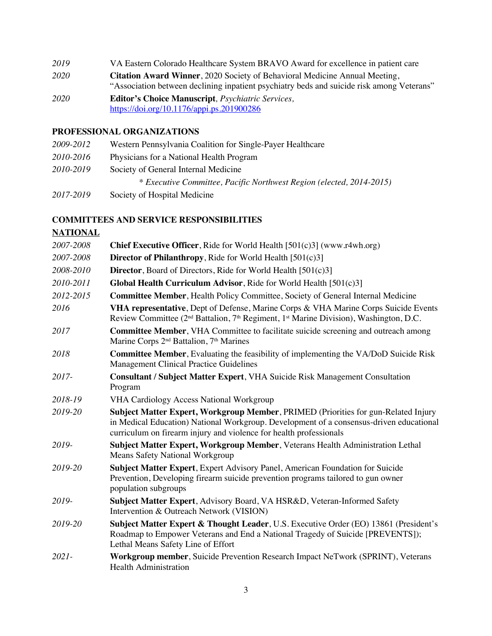*2019* VA Eastern Colorado Healthcare System BRAVO Award for excellence in patient care *2020* **Citation Award Winner**, 2020 Society of Behavioral Medicine Annual Meeting, "Association between declining inpatient psychiatry beds and suicide risk among Veterans" *2020* **Editor's Choice Manuscript***, Psychiatric Services,*  https://doi.org/10.1176/appi.ps.201900286

#### **PROFESSIONAL ORGANIZATIONS**

| 2009-2012 | Western Pennsylvania Coalition for Single-Payer Healthcare           |
|-----------|----------------------------------------------------------------------|
| 2010-2016 | Physicians for a National Health Program                             |
| 2010-2019 | Society of General Internal Medicine                                 |
|           | * Executive Committee, Pacific Northwest Region (elected, 2014-2015) |
| 2017-2019 | Society of Hospital Medicine                                         |

#### **COMMITTEES AND SERVICE RESPONSIBILITIES**

## **NATIONAL**

| 2007-2008 | <b>Chief Executive Officer, Ride for World Health [501(c)3] (www.r4wh.org)</b>                                                                                                                                                                      |  |
|-----------|-----------------------------------------------------------------------------------------------------------------------------------------------------------------------------------------------------------------------------------------------------|--|
| 2007-2008 | <b>Director of Philanthropy</b> , Ride for World Health $[501(c)3]$                                                                                                                                                                                 |  |
| 2008-2010 | <b>Director</b> , Board of Directors, Ride for World Health [501(c)3]                                                                                                                                                                               |  |
| 2010-2011 | Global Health Curriculum Advisor, Ride for World Health $[501(c)3]$                                                                                                                                                                                 |  |
| 2012-2015 | <b>Committee Member, Health Policy Committee, Society of General Internal Medicine</b>                                                                                                                                                              |  |
| 2016      | VHA representative, Dept of Defense, Marine Corps & VHA Marine Corps Suicide Events<br>Review Committee ( $2nd$ Battalion, $7th$ Regiment, $1st$ Marine Division), Washington, D.C.                                                                 |  |
| 2017      | Committee Member, VHA Committee to facilitate suicide screening and outreach among<br>Marine Corps 2 <sup>nd</sup> Battalion, 7 <sup>th</sup> Marines                                                                                               |  |
| 2018      | Committee Member, Evaluating the feasibility of implementing the VA/DoD Suicide Risk<br>Management Clinical Practice Guidelines                                                                                                                     |  |
| 2017-     | Consultant / Subject Matter Expert, VHA Suicide Risk Management Consultation<br>Program                                                                                                                                                             |  |
| 2018-19   | <b>VHA Cardiology Access National Workgroup</b>                                                                                                                                                                                                     |  |
| 2019-20   | Subject Matter Expert, Workgroup Member, PRIMED (Priorities for gun-Related Injury<br>in Medical Education) National Workgroup. Development of a consensus-driven educational<br>curriculum on firearm injury and violence for health professionals |  |
| 2019-     | Subject Matter Expert, Workgroup Member, Veterans Health Administration Lethal<br><b>Means Safety National Workgroup</b>                                                                                                                            |  |
| 2019-20   | Subject Matter Expert, Expert Advisory Panel, American Foundation for Suicide<br>Prevention, Developing firearm suicide prevention programs tailored to gun owner<br>population subgroups                                                           |  |
| 2019-     | Subject Matter Expert, Advisory Board, VA HSR&D, Veteran-Informed Safety<br>Intervention & Outreach Network (VISION)                                                                                                                                |  |
| 2019-20   | Subject Matter Expert & Thought Leader, U.S. Executive Order (EO) 13861 (President's<br>Roadmap to Empower Veterans and End a National Tragedy of Suicide [PREVENTS]);<br>Lethal Means Safety Line of Effort                                        |  |
| $2021 -$  | Workgroup member, Suicide Prevention Research Impact NeTwork (SPRINT), Veterans<br><b>Health Administration</b>                                                                                                                                     |  |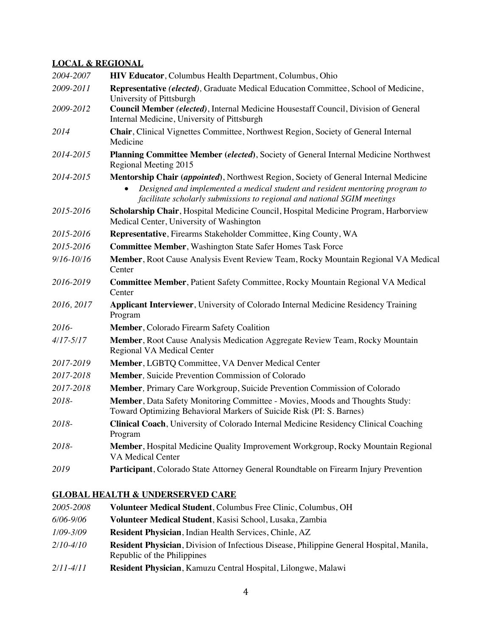## **LOCAL & REGIONAL**

| 2004-2007     | HIV Educator, Columbus Health Department, Columbus, Ohio                                                                                                                                                                                                     |  |
|---------------|--------------------------------------------------------------------------------------------------------------------------------------------------------------------------------------------------------------------------------------------------------------|--|
| 2009-2011     | Representative (elected), Graduate Medical Education Committee, School of Medicine,<br>University of Pittsburgh                                                                                                                                              |  |
| 2009-2012     | Council Member (elected), Internal Medicine Housestaff Council, Division of General<br>Internal Medicine, University of Pittsburgh                                                                                                                           |  |
| 2014          | Chair, Clinical Vignettes Committee, Northwest Region, Society of General Internal<br>Medicine                                                                                                                                                               |  |
| 2014-2015     | Planning Committee Member (elected), Society of General Internal Medicine Northwest<br>Regional Meeting 2015                                                                                                                                                 |  |
| 2014-2015     | Mentorship Chair (appointed), Northwest Region, Society of General Internal Medicine<br>Designed and implemented a medical student and resident mentoring program to<br>$\bullet$<br>facilitate scholarly submissions to regional and national SGIM meetings |  |
| 2015-2016     | Scholarship Chair, Hospital Medicine Council, Hospital Medicine Program, Harborview<br>Medical Center, University of Washington                                                                                                                              |  |
| 2015-2016     | Representative, Firearms Stakeholder Committee, King County, WA                                                                                                                                                                                              |  |
| 2015-2016     | <b>Committee Member, Washington State Safer Homes Task Force</b>                                                                                                                                                                                             |  |
| 9/16-10/16    | Member, Root Cause Analysis Event Review Team, Rocky Mountain Regional VA Medical<br>Center                                                                                                                                                                  |  |
| 2016-2019     | <b>Committee Member, Patient Safety Committee, Rocky Mountain Regional VA Medical</b><br>Center                                                                                                                                                              |  |
| 2016, 2017    | Applicant Interviewer, University of Colorado Internal Medicine Residency Training<br>Program                                                                                                                                                                |  |
| 2016-         | Member, Colorado Firearm Safety Coalition                                                                                                                                                                                                                    |  |
| $4/17 - 5/17$ | Member, Root Cause Analysis Medication Aggregate Review Team, Rocky Mountain<br>Regional VA Medical Center                                                                                                                                                   |  |
| 2017-2019     | Member, LGBTQ Committee, VA Denver Medical Center                                                                                                                                                                                                            |  |
| 2017-2018     | <b>Member, Suicide Prevention Commission of Colorado</b>                                                                                                                                                                                                     |  |
| 2017-2018     | Member, Primary Care Workgroup, Suicide Prevention Commission of Colorado                                                                                                                                                                                    |  |
| 2018-         | Member, Data Safety Monitoring Committee - Movies, Moods and Thoughts Study:<br>Toward Optimizing Behavioral Markers of Suicide Risk (PI: S. Barnes)                                                                                                         |  |
| 2018-         | Clinical Coach, University of Colorado Internal Medicine Residency Clinical Coaching<br>Program                                                                                                                                                              |  |
| 2018-         | Member, Hospital Medicine Quality Improvement Workgroup, Rocky Mountain Regional<br><b>VA Medical Center</b>                                                                                                                                                 |  |
| 2019          | Participant, Colorado State Attorney General Roundtable on Firearm Injury Prevention                                                                                                                                                                         |  |
|               |                                                                                                                                                                                                                                                              |  |

## **GLOBAL HEALTH & UNDERSERVED CARE**

| 2005-2008     | Volunteer Medical Student, Columbus Free Clinic, Columbus, OH                                    |
|---------------|--------------------------------------------------------------------------------------------------|
| 6/06-9/06     | Volunteer Medical Student, Kasisi School, Lusaka, Zambia                                         |
| $1/09 - 3/09$ | <b>Resident Physician, Indian Health Services, Chinle, AZ</b>                                    |
| 2/10-4/10     | <b>Resident Physician</b> , Division of Infectious Disease, Philippine General Hospital, Manila, |
|               | Republic of the Philippines                                                                      |
| 2/11-4/11     | Resident Physician, Kamuzu Central Hospital, Lilongwe, Malawi                                    |
|               |                                                                                                  |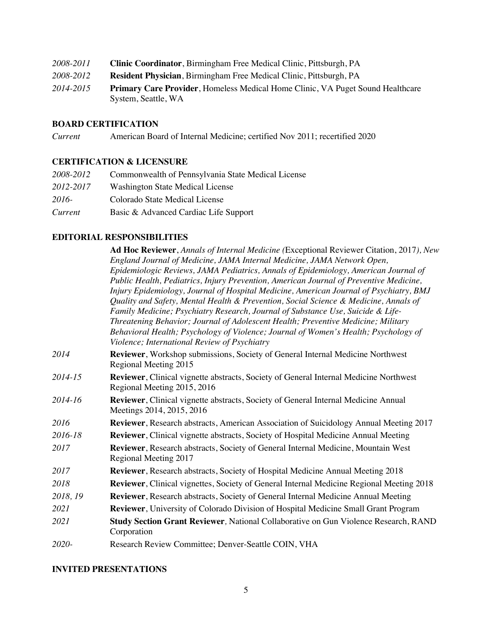| 2008-2011 | <b>Clinic Coordinator, Birmingham Free Medical Clinic, Pittsburgh, PA</b>      |
|-----------|--------------------------------------------------------------------------------|
| 2008-2012 | <b>Resident Physician, Birmingham Free Medical Clinic, Pittsburgh, PA</b>      |
| 2014-2015 | Primary Care Provider, Homeless Medical Home Clinic, VA Puget Sound Healthcare |
|           | System, Seattle, WA                                                            |

#### **BOARD CERTIFICATION**

*Current* American Board of Internal Medicine; certified Nov 2011; recertified 2020

## **CERTIFICATION & LICENSURE**

| 2008-2012 | Commonwealth of Pennsylvania State Medical License |
|-----------|----------------------------------------------------|
| 2012-2017 | <b>Washington State Medical License</b>            |
| 2016-     | Colorado State Medical License                     |
| Current   | Basic & Advanced Cardiac Life Support              |

#### **EDITORIAL RESPONSIBILITIES**

|          | Ad Hoc Reviewer, Annals of Internal Medicine (Exceptional Reviewer Citation, 2017), New                                             |
|----------|-------------------------------------------------------------------------------------------------------------------------------------|
|          | England Journal of Medicine, JAMA Internal Medicine, JAMA Network Open,                                                             |
|          | Epidemiologic Reviews, JAMA Pediatrics, Annals of Epidemiology, American Journal of                                                 |
|          | Public Health, Pediatrics, Injury Prevention, American Journal of Preventive Medicine,                                              |
|          | Injury Epidemiology, Journal of Hospital Medicine, American Journal of Psychiatry, BMJ                                              |
|          | Quality and Safety, Mental Health & Prevention, Social Science & Medicine, Annals of                                                |
|          | Family Medicine; Psychiatry Research, Journal of Substance Use, Suicide & Life-                                                     |
|          | Threatening Behavior; Journal of Adolescent Health; Preventive Medicine; Military                                                   |
|          | Behavioral Health; Psychology of Violence; Journal of Women's Health; Psychology of<br>Violence; International Review of Psychiatry |
| 2014     | Reviewer, Workshop submissions, Society of General Internal Medicine Northwest<br>Regional Meeting 2015                             |
| 2014-15  | Reviewer, Clinical vignette abstracts, Society of General Internal Medicine Northwest<br>Regional Meeting 2015, 2016                |
| 2014-16  | Reviewer, Clinical vignette abstracts, Society of General Internal Medicine Annual<br>Meetings 2014, 2015, 2016                     |
| 2016     | <b>Reviewer</b> , Research abstracts, American Association of Suicidology Annual Meeting 2017                                       |
| 2016-18  | Reviewer, Clinical vignette abstracts, Society of Hospital Medicine Annual Meeting                                                  |
| 2017     | Reviewer, Research abstracts, Society of General Internal Medicine, Mountain West<br>Regional Meeting 2017                          |
| 2017     | Reviewer, Research abstracts, Society of Hospital Medicine Annual Meeting 2018                                                      |
| 2018     | <b>Reviewer</b> , Clinical vignettes, Society of General Internal Medicine Regional Meeting 2018                                    |
| 2018, 19 | Reviewer, Research abstracts, Society of General Internal Medicine Annual Meeting                                                   |
| 2021     | <b>Reviewer</b> , University of Colorado Division of Hospital Medicine Small Grant Program                                          |
| 2021     | Study Section Grant Reviewer, National Collaborative on Gun Violence Research, RAND<br>Corporation                                  |
| 2020-    | Research Review Committee; Denver-Seattle COIN, VHA                                                                                 |

#### **INVITED PRESENTATIONS**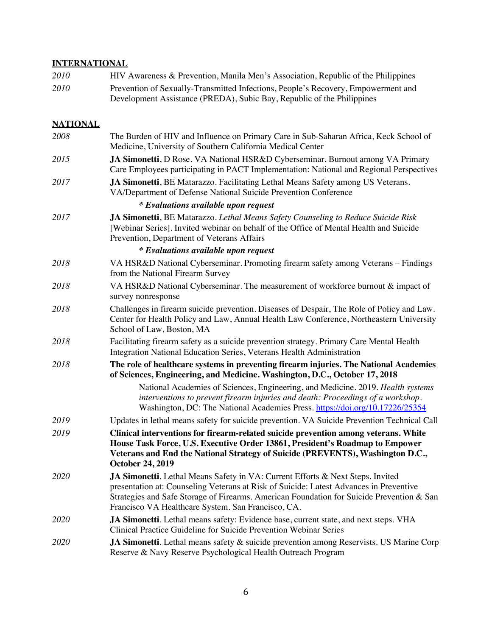## **INTERNATIONAL**

| 2010            | HIV Awareness & Prevention, Manila Men's Association, Republic of the Philippines                                                                                                                                                                                                                                           |  |
|-----------------|-----------------------------------------------------------------------------------------------------------------------------------------------------------------------------------------------------------------------------------------------------------------------------------------------------------------------------|--|
| 2010            | Prevention of Sexually-Transmitted Infections, People's Recovery, Empowerment and<br>Development Assistance (PREDA), Subic Bay, Republic of the Philippines                                                                                                                                                                 |  |
| <b>NATIONAL</b> |                                                                                                                                                                                                                                                                                                                             |  |
| 2008            | The Burden of HIV and Influence on Primary Care in Sub-Saharan Africa, Keck School of<br>Medicine, University of Southern California Medical Center                                                                                                                                                                         |  |
| 2015            | JA Simonetti, D Rose. VA National HSR&D Cyberseminar. Burnout among VA Primary<br>Care Employees participating in PACT Implementation: National and Regional Perspectives                                                                                                                                                   |  |
| 2017            | JA Simonetti, BE Matarazzo. Facilitating Lethal Means Safety among US Veterans.<br>VA/Department of Defense National Suicide Prevention Conference                                                                                                                                                                          |  |
|                 | <i>*</i> Evaluations available upon request                                                                                                                                                                                                                                                                                 |  |
| 2017            | JA Simonetti, BE Matarazzo. Lethal Means Safety Counseling to Reduce Suicide Risk<br>[Webinar Series]. Invited webinar on behalf of the Office of Mental Health and Suicide<br>Prevention, Department of Veterans Affairs                                                                                                   |  |
|                 | <i>*</i> Evaluations available upon request                                                                                                                                                                                                                                                                                 |  |
| 2018            | VA HSR&D National Cyberseminar. Promoting firearm safety among Veterans – Findings<br>from the National Firearm Survey                                                                                                                                                                                                      |  |
| 2018            | VA HSR&D National Cyberseminar. The measurement of workforce burnout & impact of<br>survey nonresponse                                                                                                                                                                                                                      |  |
| 2018            | Challenges in firearm suicide prevention. Diseases of Despair, The Role of Policy and Law.<br>Center for Health Policy and Law, Annual Health Law Conference, Northeastern University<br>School of Law, Boston, MA                                                                                                          |  |
| 2018            | Facilitating firearm safety as a suicide prevention strategy. Primary Care Mental Health<br>Integration National Education Series, Veterans Health Administration                                                                                                                                                           |  |
| 2018            | The role of healthcare systems in preventing firearm injuries. The National Academies<br>of Sciences, Engineering, and Medicine. Washington, D.C., October 17, 2018                                                                                                                                                         |  |
|                 | National Academies of Sciences, Engineering, and Medicine. 2019. Health systems<br>interventions to prevent firearm injuries and death: Proceedings of a workshop.<br>Washington, DC: The National Academies Press. https://doi.org/10.17226/25354                                                                          |  |
| 2019            | Updates in lethal means safety for suicide prevention. VA Suicide Prevention Technical Call                                                                                                                                                                                                                                 |  |
| 2019            | Clinical interventions for firearm-related suicide prevention among veterans. White<br>House Task Force, U.S. Executive Order 13861, President's Roadmap to Empower<br>Veterans and End the National Strategy of Suicide (PREVENTS), Washington D.C.,<br><b>October 24, 2019</b>                                            |  |
| <i>2020</i>     | JA Simonetti. Lethal Means Safety in VA: Current Efforts & Next Steps. Invited<br>presentation at: Counseling Veterans at Risk of Suicide: Latest Advances in Preventive<br>Strategies and Safe Storage of Firearms. American Foundation for Suicide Prevention & San<br>Francisco VA Healthcare System. San Francisco, CA. |  |
| 2020            | JA Simonetti. Lethal means safety: Evidence base, current state, and next steps. VHA<br>Clinical Practice Guideline for Suicide Prevention Webinar Series                                                                                                                                                                   |  |
| 2020            | <b>JA Simonetti</b> . Lethal means safety & suicide prevention among Reservists. US Marine Corp<br>Reserve & Navy Reserve Psychological Health Outreach Program                                                                                                                                                             |  |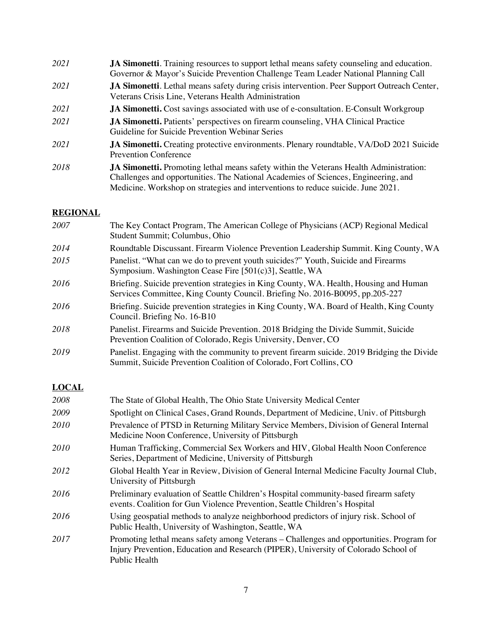| 2021 | <b>JA Simonetti.</b> Training resources to support lethal means safety counseling and education.<br>Governor & Mayor's Suicide Prevention Challenge Team Leader National Planning Call                                                                                  |
|------|-------------------------------------------------------------------------------------------------------------------------------------------------------------------------------------------------------------------------------------------------------------------------|
| 2021 | <b>JA Simonetti.</b> Lethal means safety during crisis intervention. Peer Support Outreach Center,<br>Veterans Crisis Line, Veterans Health Administration                                                                                                              |
| 2021 | <b>JA Simonetti.</b> Cost savings associated with use of e-consultation. E-Consult Workgroup                                                                                                                                                                            |
| 2021 | <b>JA Simonetti.</b> Patients' perspectives on firearm counseling, VHA Clinical Practice<br>Guideline for Suicide Prevention Webinar Series                                                                                                                             |
| 2021 | <b>JA Simonetti.</b> Creating protective environments. Plenary roundtable, VA/DoD 2021 Suicide<br><b>Prevention Conference</b>                                                                                                                                          |
| 2018 | <b>JA Simonetti.</b> Promoting lethal means safety within the Veterans Health Administration:<br>Challenges and opportunities. The National Academies of Sciences, Engineering, and<br>Medicine. Workshop on strategies and interventions to reduce suicide. June 2021. |

## **REGIONAL**

| 2007 | The Key Contact Program, The American College of Physicians (ACP) Regional Medical<br>Student Summit; Columbus, Ohio                                                  |
|------|-----------------------------------------------------------------------------------------------------------------------------------------------------------------------|
| 2014 | Roundtable Discussant. Firearm Violence Prevention Leadership Summit. King County, WA                                                                                 |
| 2015 | Panelist. "What can we do to prevent youth suicides?" Youth, Suicide and Firearms<br>Symposium. Washington Cease Fire [501(c)3], Seattle, WA                          |
| 2016 | Briefing. Suicide prevention strategies in King County, WA. Health, Housing and Human<br>Services Committee, King County Council. Briefing No. 2016-B0095, pp.205-227 |
| 2016 | Briefing. Suicide prevention strategies in King County, WA. Board of Health, King County<br>Council. Briefing No. 16-B10                                              |
| 2018 | Panelist. Firearms and Suicide Prevention. 2018 Bridging the Divide Summit, Suicide<br>Prevention Coalition of Colorado, Regis University, Denver, CO                 |
| 2019 | Panelist. Engaging with the community to prevent firearm suicide. 2019 Bridging the Divide<br>Summit, Suicide Prevention Coalition of Colorado, Fort Collins, CO      |

## **LOCAL**

| 2008 | The State of Global Health, The Ohio State University Medical Center                                                                                                                             |
|------|--------------------------------------------------------------------------------------------------------------------------------------------------------------------------------------------------|
| 2009 | Spotlight on Clinical Cases, Grand Rounds, Department of Medicine, Univ. of Pittsburgh                                                                                                           |
| 2010 | Prevalence of PTSD in Returning Military Service Members, Division of General Internal<br>Medicine Noon Conference, University of Pittsburgh                                                     |
| 2010 | Human Trafficking, Commercial Sex Workers and HIV, Global Health Noon Conference<br>Series, Department of Medicine, University of Pittsburgh                                                     |
| 2012 | Global Health Year in Review, Division of General Internal Medicine Faculty Journal Club,<br>University of Pittsburgh                                                                            |
| 2016 | Preliminary evaluation of Seattle Children's Hospital community-based firearm safety<br>events. Coalition for Gun Violence Prevention, Seattle Children's Hospital                               |
| 2016 | Using geospatial methods to analyze neighborhood predictors of injury risk. School of<br>Public Health, University of Washington, Seattle, WA                                                    |
| 2017 | Promoting lethal means safety among Veterans – Challenges and opportunities. Program for<br>Injury Prevention, Education and Research (PIPER), University of Colorado School of<br>Public Health |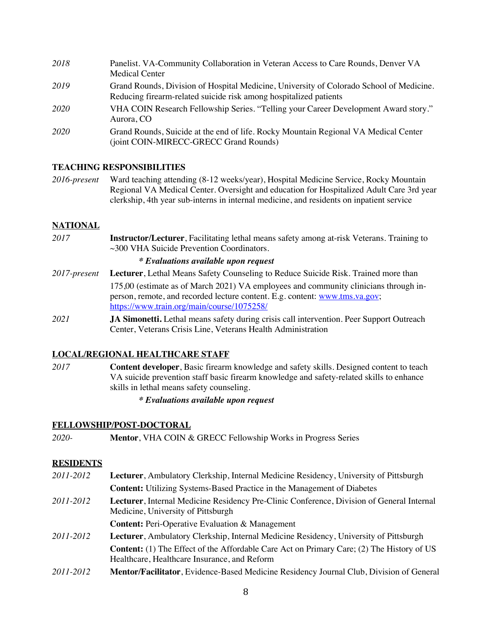| 2018 | Panelist. VA-Community Collaboration in Veteran Access to Care Rounds, Denver VA<br><b>Medical Center</b>                                                    |
|------|--------------------------------------------------------------------------------------------------------------------------------------------------------------|
| 2019 | Grand Rounds, Division of Hospital Medicine, University of Colorado School of Medicine.<br>Reducing firearm-related suicide risk among hospitalized patients |
| 2020 | VHA COIN Research Fellowship Series. "Telling your Career Development Award story."<br>Aurora, CO                                                            |
| 2020 | Grand Rounds, Suicide at the end of life. Rocky Mountain Regional VA Medical Center<br>(joint COIN-MIRECC-GRECC Grand Rounds)                                |

#### **TEACHING RESPONSIBILITIES**

*2016-present* Ward teaching attending (8-12 weeks/year), Hospital Medicine Service, Rocky Mountain Regional VA Medical Center. Oversight and education for Hospitalized Adult Care 3rd year clerkship, 4th year sub-interns in internal medicine, and residents on inpatient service

#### **NATIONAL**

*2017* **Instructor/Lecturer**, Facilitating lethal means safety among at-risk Veterans. Training to ~300 VHA Suicide Prevention Coordinators.

#### *\* Evaluations available upon request*

- *2017-present* **Lecturer**, Lethal Means Safety Counseling to Reduce Suicide Risk. Trained more than 175,00 (estimate as of March 2021) VA employees and community clinicians through inperson, remote, and recorded lecture content. E.g. content: www.tms.va.gov; https://www.train.org/main/course/1075258/
- *2021* **JA Simonetti.** Lethal means safety during crisis call intervention. Peer Support Outreach Center, Veterans Crisis Line, Veterans Health Administration

#### **LOCAL/REGIONAL HEALTHCARE STAFF**

*2017* **Content developer**, Basic firearm knowledge and safety skills. Designed content to teach VA suicide prevention staff basic firearm knowledge and safety-related skills to enhance skills in lethal means safety counseling.

#### *\* Evaluations available upon request*

#### **FELLOWSHIP/POST-DOCTORAL**

*2020-* **Mentor**, VHA COIN & GRECC Fellowship Works in Progress Series

#### **RESIDENTS**

- *2011-2012* **Lecturer**, Ambulatory Clerkship, Internal Medicine Residency, University of Pittsburgh **Content:** Utilizing Systems-Based Practice in the Management of Diabetes *2011-2012* **Lecturer**, Internal Medicine Residency Pre-Clinic Conference, Division of General Internal Medicine, University of Pittsburgh **Content:** Peri-Operative Evaluation & Management *2011-2012* **Lecturer**, Ambulatory Clerkship, Internal Medicine Residency, University of Pittsburgh **Content:** (1) The Effect of the Affordable Care Act on Primary Care; (2) The History of US Healthcare, Healthcare Insurance, and Reform
- *2011-2012* **Mentor/Facilitator**, Evidence-Based Medicine Residency Journal Club, Division of General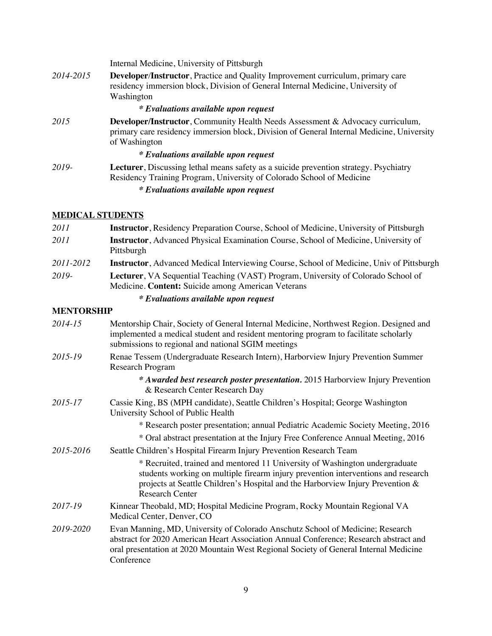Internal Medicine, University of Pittsburgh

*2014-2015* **Developer***/***Instructor**, Practice and Quality Improvement curriculum, primary care residency immersion block, Division of General Internal Medicine, University of Washington

#### *\* Evaluations available upon request*

*2015* **Developer/Instructor**, Community Health Needs Assessment & Advocacy curriculum*,*  primary care residency immersion block, Division of General Internal Medicine, University of Washington

#### *\* Evaluations available upon request*

*2019-* **Lecturer**, Discussing lethal means safety as a suicide prevention strategy. Psychiatry Residency Training Program, University of Colorado School of Medicine

#### *\* Evaluations available upon request*

#### **MEDICAL STUDENTS**

| 2011              | <b>Instructor</b> , Residency Preparation Course, School of Medicine, University of Pittsburgh                                                  |  |
|-------------------|-------------------------------------------------------------------------------------------------------------------------------------------------|--|
| 2011              | <b>Instructor</b> , Advanced Physical Examination Course, School of Medicine, University of<br>Pittsburgh                                       |  |
| 2011-2012         | <b>Instructor</b> , Advanced Medical Interviewing Course, School of Medicine, Univ of Pittsburgh                                                |  |
| 2019-             | <b>Lecturer</b> , VA Sequential Teaching (VAST) Program, University of Colorado School of<br>Medicine. Content: Suicide among American Veterans |  |
|                   | <i>*</i> Evaluations available upon request                                                                                                     |  |
| <b>MENTORSHIP</b> |                                                                                                                                                 |  |
| $2014.15$         | Montevelin Chair Society of Canaval Internal Modicine, Northwest Decient Deciment and                                                           |  |

| 2014-15   | Mentorship Chair, Society of General Internal Medicine, Northwest Region. Designed and<br>implemented a medical student and resident mentoring program to facilitate scholarly<br>submissions to regional and national SGIM meetings                                           |
|-----------|--------------------------------------------------------------------------------------------------------------------------------------------------------------------------------------------------------------------------------------------------------------------------------|
| 2015-19   | Renae Tessem (Undergraduate Research Intern), Harborview Injury Prevention Summer<br><b>Research Program</b>                                                                                                                                                                   |
|           | * Awarded best research poster presentation. 2015 Harborview Injury Prevention<br>& Research Center Research Day                                                                                                                                                               |
| 2015-17   | Cassie King, BS (MPH candidate), Seattle Children's Hospital; George Washington<br>University School of Public Health                                                                                                                                                          |
|           | * Research poster presentation; annual Pediatric Academic Society Meeting, 2016                                                                                                                                                                                                |
|           | * Oral abstract presentation at the Injury Free Conference Annual Meeting, 2016                                                                                                                                                                                                |
| 2015-2016 | Seattle Children's Hospital Firearm Injury Prevention Research Team                                                                                                                                                                                                            |
|           | * Recruited, trained and mentored 11 University of Washington undergraduate<br>students working on multiple firearm injury prevention interventions and research<br>projects at Seattle Children's Hospital and the Harborview Injury Prevention &<br><b>Research Center</b>   |
| 2017-19   | Kinnear Theobald, MD; Hospital Medicine Program, Rocky Mountain Regional VA<br>Medical Center, Denver, CO                                                                                                                                                                      |
| 2019-2020 | Evan Manning, MD, University of Colorado Anschutz School of Medicine; Research<br>abstract for 2020 American Heart Association Annual Conference; Research abstract and<br>oral presentation at 2020 Mountain West Regional Society of General Internal Medicine<br>Conference |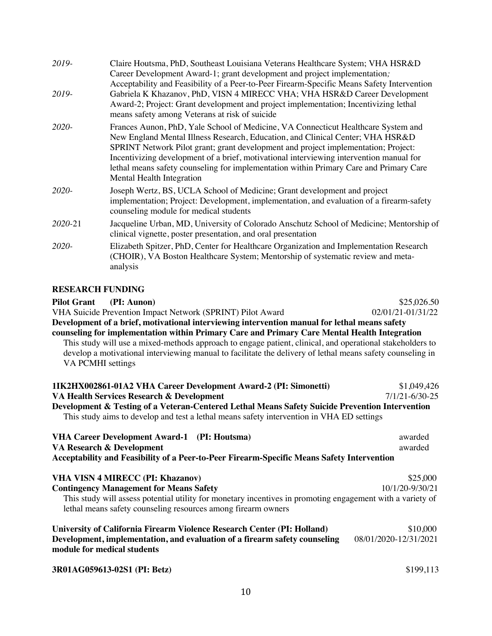| 2019-   | Claire Houtsma, PhD, Southeast Louisiana Veterans Healthcare System; VHA HSR&D<br>Career Development Award-1; grant development and project implementation;                                                                                                                                                                                                                                                                                                                 |
|---------|-----------------------------------------------------------------------------------------------------------------------------------------------------------------------------------------------------------------------------------------------------------------------------------------------------------------------------------------------------------------------------------------------------------------------------------------------------------------------------|
| 2019-   | Acceptability and Feasibility of a Peer-to-Peer Firearm-Specific Means Safety Intervention<br>Gabriela K Khazanov, PhD, VISN 4 MIRECC VHA; VHA HSR&D Career Development<br>Award-2; Project: Grant development and project implementation; Incentivizing lethal<br>means safety among Veterans at risk of suicide                                                                                                                                                           |
| 2020-   | Frances Aunon, PhD, Yale School of Medicine, VA Connecticut Healthcare System and<br>New England Mental Illness Research, Education, and Clinical Center; VHA HSR&D<br>SPRINT Network Pilot grant; grant development and project implementation; Project:<br>Incentivizing development of a brief, motivational interviewing intervention manual for<br>lethal means safety counseling for implementation within Primary Care and Primary Care<br>Mental Health Integration |
| 2020-   | Joseph Wertz, BS, UCLA School of Medicine; Grant development and project<br>implementation; Project: Development, implementation, and evaluation of a firearm-safety<br>counseling module for medical students                                                                                                                                                                                                                                                              |
| 2020-21 | Jacqueline Urban, MD, University of Colorado Anschutz School of Medicine; Mentorship of<br>clinical vignette, poster presentation, and oral presentation                                                                                                                                                                                                                                                                                                                    |
| 2020-   | Elizabeth Spitzer, PhD, Center for Healthcare Organization and Implementation Research<br>(CHOIR), VA Boston Healthcare System; Mentorship of systematic review and meta-<br>analysis                                                                                                                                                                                                                                                                                       |

#### **RESEARCH FUNDING**

| <b>Pilot Grant</b><br>(PI: Aunon)                                                                                                                                                                                                            | \$25,026.50          |  |
|----------------------------------------------------------------------------------------------------------------------------------------------------------------------------------------------------------------------------------------------|----------------------|--|
| VHA Suicide Prevention Impact Network (SPRINT) Pilot Award                                                                                                                                                                                   | 02/01/21-01/31/22    |  |
| Development of a brief, motivational interviewing intervention manual for lethal means safety                                                                                                                                                |                      |  |
| counseling for implementation within Primary Care and Primary Care Mental Health Integration                                                                                                                                                 |                      |  |
| This study will use a mixed-methods approach to engage patient, clinical, and operational stakeholders to<br>develop a motivational interviewing manual to facilitate the delivery of lethal means safety counseling in<br>VA PCMHI settings |                      |  |
| 1IK2HX002861-01A2 VHA Career Development Award-2 (PI: Simonetti)                                                                                                                                                                             | \$1,049,426          |  |
| VA Health Services Research & Development                                                                                                                                                                                                    | $7/1/21 - 6/30 - 25$ |  |
| Development & Testing of a Veteran-Centered Lethal Means Safety Suicide Prevention Intervention                                                                                                                                              |                      |  |

This study aims to develop and test a lethal means safety intervention in VHA ED settings

| VHA Career Development Award-1 (PI: Houtsma)                                               | awarded |
|--------------------------------------------------------------------------------------------|---------|
| VA Research & Development                                                                  | awarded |
| Acceptability and Feasibility of a Peer-to-Peer Firearm-Specific Means Safety Intervention |         |

| <b>VHA VISN 4 MIRECC (PI: Khazanov)</b>                                                                    | \$25,000        |
|------------------------------------------------------------------------------------------------------------|-----------------|
| <b>Contingency Management for Means Safety</b>                                                             | 10/1/20-9/30/21 |
| This study will assess potential utility for monetary incentives in promoting engagement with a variety of |                 |
| lethal means safety counseling resources among firearm owners                                              |                 |

| University of California Firearm Violence Research Center (PI: Holland)    | \$10,000              |
|----------------------------------------------------------------------------|-----------------------|
| Development, implementation, and evaluation of a firearm safety counseling | 08/01/2020-12/31/2021 |
| module for medical students                                                |                       |

| 3R01AG059613-02S1 (PI: Betz) | \$199,113 |
|------------------------------|-----------|
|                              |           |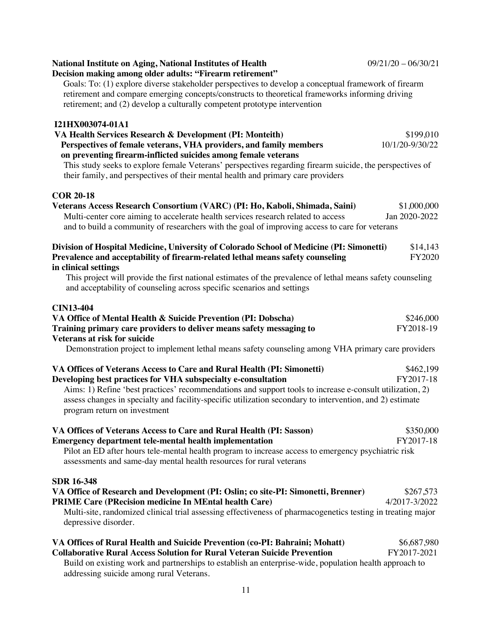**Division of Hospital Medicine, University of Colorado School of Medicine (PI: Simonetti)** \$14,143 **Prevalence and acceptability of firearm-related lethal means safety counseling FY2020 in clinical settings** This project will provide the first national estimates of the prevalence of lethal means safety counseling and acceptability of counseling across specific scenarios and settings **CIN13-404 VA Office of Mental Health & Suicide Prevention (PI: Dobscha)** \$246,000 **Training primary care providers to deliver means safety messaging to** FY2018-19 **Veterans at risk for suicide** Demonstration project to implement lethal means safety counseling among VHA primary care providers **VA Offices of Veterans Access to Care and Rural Health (PI: Simonetti)** \$462,199 **Developing best practices for VHA subspecialty e-consultation** FY2017-18 Aims: 1) Refine 'best practices' recommendations and support tools to increase e-consult utilization, 2) assess changes in specialty and facility-specific utilization secondary to intervention, and 2) estimate program return on investment **VA Offices of Veterans Access to Care and Rural Health (PI: Sasson)** \$350,000 **Emergency department tele-mental health implementation** FY2017-18 Pilot an ED after hours tele-mental health program to increase access to emergency psychiatric risk assessments and same-day mental health resources for rural veterans **SDR 16-348 VA Office of Research and Development (PI: Oslin; co site-PI: Simonetti, Brenner)** \$267,573 **PRIME Care (PRecision medicine In MEntal health Care)** 4/2017-3/2022 Multi-site, randomized clinical trial assessing effectiveness of pharmacogenetics testing in treating major depressive disorder. **VA Offices of Rural Health and Suicide Prevention (co-PI: Bahraini; Mohatt)** \$6,687,980 **Collaborative Rural Access Solution for Rural Veteran Suicide Prevention** FY2017-2021

#### their family, and perspectives of their mental health and primary care providers

**I21HX003074-01A1**

### **COR 20-18**

**Decision making among older adults: "Firearm retirement"** Goals: To: (1) explore diverse stakeholder perspectives to develop a conceptual framework of firearm retirement and compare emerging concepts/constructs to theoretical frameworks informing driving retirement; and (2) develop a culturally competent prototype intervention

**VA Health Services Research & Development (PI: Monteith) 199,010** \$199,010 **Perspectives of female veterans, VHA providers, and family members** 10/1/20-9/30/22

This study seeks to explore female Veterans' perspectives regarding firearm suicide, the perspectives of

**Veterans Access Research Consortium (VARC) (PI: Ho, Kaboli, Shimada, Saini)** \$1,000,000 Multi-center core aiming to accelerate health services research related to access Jan 2020-2022

and to build a community of researchers with the goal of improving access to care for veterans

## **National Institute on Aging, National Institutes of Health** 09/21/20 – 06/30/21

 **on preventing firearm-inflicted suicides among female veterans**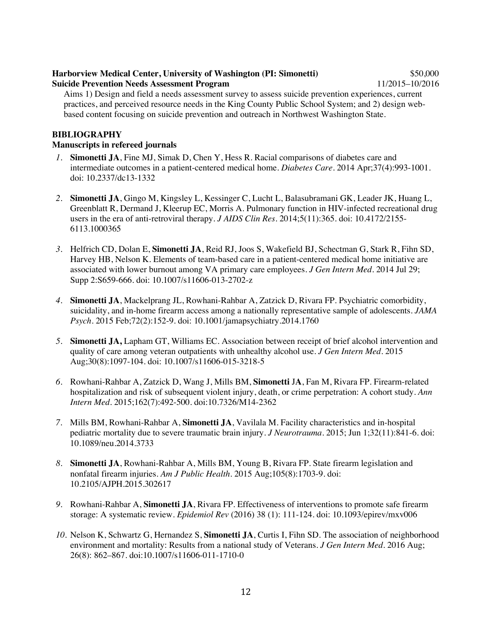#### **Harborview Medical Center, University of Washington (PI: Simonetti)** \$50,000 **Suicide Prevention Needs Assessment Program** 11/2015–10/2016

Aims 1) Design and field a needs assessment survey to assess suicide prevention experiences, current practices, and perceived resource needs in the King County Public School System; and 2) design webbased content focusing on suicide prevention and outreach in Northwest Washington State.

#### **BIBLIOGRAPHY**

#### **Manuscripts in refereed journals**

- *1.* **Simonetti JA**, Fine MJ, Simak D, Chen Y, Hess R. Racial comparisons of diabetes care and intermediate outcomes in a patient-centered medical home. *Diabetes Care.* 2014 Apr;37(4):993-1001. doi: 10.2337/dc13-1332
- *2.* **Simonetti JA**, Gingo M, Kingsley L, Kessinger C, Lucht L, Balasubramani GK, Leader JK, Huang L, Greenblatt R, Dermand J, Kleerup EC, Morris A. Pulmonary function in HIV-infected recreational drug users in the era of anti-retroviral therapy. *J AIDS Clin Res.* 2014;5(11):365. doi: 10.4172/2155- 6113.1000365
- *3.* Helfrich CD, Dolan E, **Simonetti JA**, Reid RJ, Joos S, Wakefield BJ, Schectman G, Stark R, Fihn SD, Harvey HB, Nelson K. Elements of team-based care in a patient-centered medical home initiative are associated with lower burnout among VA primary care employees. *J Gen Intern Med*. 2014 Jul 29; Supp 2:S659-666. doi: 10.1007/s11606-013-2702-z
- *4.* **Simonetti JA**, Mackelprang JL, Rowhani-Rahbar A, Zatzick D, Rivara FP. Psychiatric comorbidity, suicidality, and in-home firearm access among a nationally representative sample of adolescents. *JAMA Psych.* 2015 Feb;72(2):152-9. doi: 10.1001/jamapsychiatry.2014.1760
- *5.* **Simonetti JA,** Lapham GT, Williams EC. Association between receipt of brief alcohol intervention and quality of care among veteran outpatients with unhealthy alcohol use. *J Gen Intern Med.* 2015 Aug;30(8):1097-104. doi: 10.1007/s11606-015-3218-5
- *6.* Rowhani-Rahbar A, Zatzick D, Wang J, Mills BM, **Simonetti** J**A**, Fan M, Rivara FP. Firearm-related hospitalization and risk of subsequent violent injury, death, or crime perpetration: A cohort study. *Ann Intern Med.* 2015;162(7):492-500. doi:10.7326/M14-2362
- *7.* Mills BM, Rowhani-Rahbar A, **Simonetti JA**, Vavilala M. Facility characteristics and in-hospital pediatric mortality due to severe traumatic brain injury. *J Neurotrauma.* 2015; Jun 1;32(11):841-6. doi: 10.1089/neu.2014.3733
- *8.* **Simonetti JA**, Rowhani-Rahbar A, Mills BM, Young B, Rivara FP. State firearm legislation and nonfatal firearm injuries. *Am J Public Health*. 2015 Aug;105(8):1703-9. doi: 10.2105/AJPH.2015.302617
- *9.* Rowhani-Rahbar A, **Simonetti JA**, Rivara FP. Effectiveness of interventions to promote safe firearm storage: A systematic review. *Epidemiol Rev* (2016) 38 (1): 111-124. doi: 10.1093/epirev/mxv006
- *10.* Nelson K, Schwartz G, Hernandez S, **Simonetti JA**, Curtis I, Fihn SD. The association of neighborhood environment and mortality: Results from a national study of Veterans. *J Gen Intern Med.* 2016 Aug; 26(8): 862–867. doi:10.1007/s11606-011-1710-0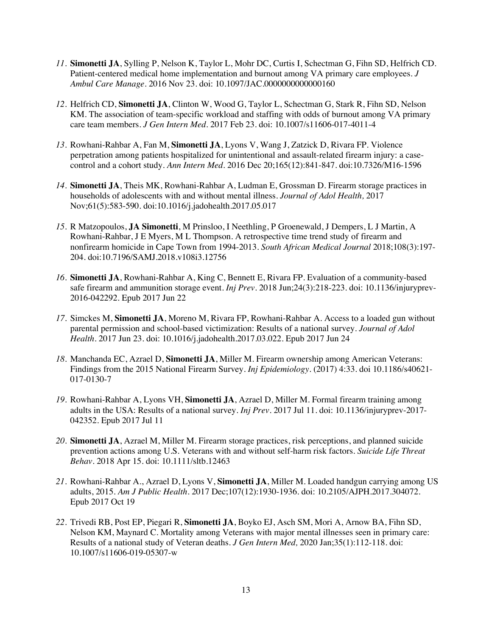- *11.* **Simonetti JA**, Sylling P, Nelson K, Taylor L, Mohr DC, Curtis I, Schectman G, Fihn SD, Helfrich CD. Patient-centered medical home implementation and burnout among VA primary care employees. *J Ambul Care Manage*. 2016 Nov 23. doi: 10.1097/JAC.0000000000000160
- *12.* Helfrich CD, **Simonetti JA**, Clinton W, Wood G, Taylor L, Schectman G, Stark R, Fihn SD, Nelson KM. The association of team-specific workload and staffing with odds of burnout among VA primary care team members. *J Gen Intern Med*. 2017 Feb 23. doi: 10.1007/s11606-017-4011-4
- *13.* Rowhani-Rahbar A, Fan M, **Simonetti JA**, Lyons V, Wang J, Zatzick D, Rivara FP. Violence perpetration among patients hospitalized for unintentional and assault-related firearm injury: a casecontrol and a cohort study. *Ann Intern Med*. 2016 Dec 20;165(12):841-847. doi:10.7326/M16-1596
- *14.* **Simonetti JA**, Theis MK, Rowhani-Rahbar A, Ludman E, Grossman D. Firearm storage practices in households of adolescents with and without mental illness. *Journal of Adol Health,* 2017 Nov;61(5):583-590. doi:10.1016/j.jadohealth.2017.05.017
- *15.* R Matzopoulos, **JA Simonetti**, M Prinsloo, I Neethling, P Groenewald, J Dempers, L J Martin, A Rowhani-Rahbar, J E Myers, M L Thompson. A retrospective time trend study of firearm and nonfirearm homicide in Cape Town from 1994-2013. *South African Medical Journal* 2018;108(3):197- 204. doi:10.7196/SAMJ.2018.v108i3.12756
- *16.* **Simonetti JA**, Rowhani-Rahbar A, King C, Bennett E, Rivara FP. Evaluation of a community-based safe firearm and ammunition storage event. *Inj Prev*. 2018 Jun;24(3):218-223. doi: 10.1136/injuryprev-2016-042292. Epub 2017 Jun 22
- *17.* Simckes M, **Simonetti JA**, Moreno M, Rivara FP, Rowhani-Rahbar A. Access to a loaded gun without parental permission and school-based victimization: Results of a national survey. *Journal of Adol Health.* 2017 Jun 23. doi: 10.1016/j.jadohealth.2017.03.022. Epub 2017 Jun 24
- *18.* Manchanda EC, Azrael D, **Simonetti JA**, Miller M. Firearm ownership among American Veterans: Findings from the 2015 National Firearm Survey. *Inj Epidemiology.* (2017) 4:33. doi 10.1186/s40621- 017-0130-7
- *19.* Rowhani-Rahbar A, Lyons VH, **Simonetti JA**, Azrael D, Miller M. Formal firearm training among adults in the USA: Results of a national survey. *Inj Prev*. 2017 Jul 11. doi: 10.1136/injuryprev-2017- 042352. Epub 2017 Jul 11
- *20.* **Simonetti JA**, Azrael M, Miller M. Firearm storage practices, risk perceptions, and planned suicide prevention actions among U.S. Veterans with and without self-harm risk factors. *Suicide Life Threat Behav*. 2018 Apr 15. doi: 10.1111/sltb.12463
- *21.* Rowhani-Rahbar A., Azrael D, Lyons V, **Simonetti JA**, Miller M. Loaded handgun carrying among US adults, 2015. *Am J Public Health.* 2017 Dec;107(12):1930-1936. doi: 10.2105/AJPH.2017.304072. Epub 2017 Oct 19
- *22.* Trivedi RB, Post EP, Piegari R, **Simonetti JA**, Boyko EJ, Asch SM, Mori A, Arnow BA, Fihn SD, Nelson KM, Maynard C. Mortality among Veterans with major mental illnesses seen in primary care: Results of a national study of Veteran deaths. *J Gen Intern Med,* 2020 Jan;35(1):112-118. doi: 10.1007/s11606-019-05307-w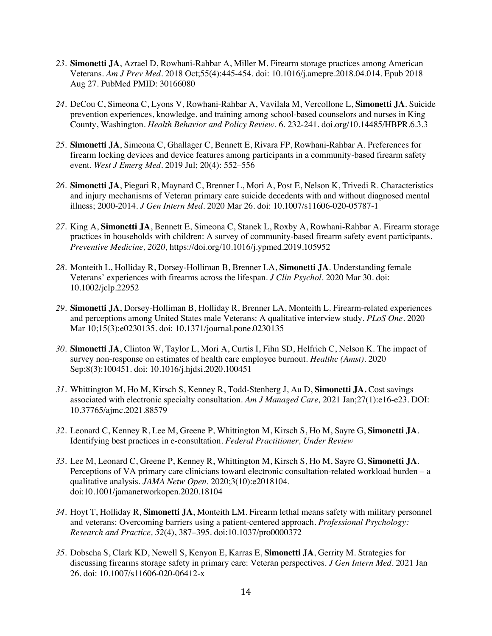- *23.* **Simonetti JA**, Azrael D, Rowhani-Rahbar A, Miller M. Firearm storage practices among American Veterans. *Am J Prev Med.* 2018 Oct;55(4):445-454. doi: 10.1016/j.amepre.2018.04.014. Epub 2018 Aug 27. PubMed PMID: 30166080
- *24.* DeCou C, Simeona C, Lyons V, Rowhani-Rahbar A, Vavilala M, Vercollone L, **Simonetti JA**. Suicide prevention experiences, knowledge, and training among school-based counselors and nurses in King County, Washington. *Health Behavior and Policy Review*. 6. 232-241. doi.org/10.14485/HBPR.6.3.3
- *25.* **Simonetti JA**, Simeona C, Ghallager C, Bennett E, Rivara FP, Rowhani-Rahbar A. Preferences for firearm locking devices and device features among participants in a community-based firearm safety event. *West J Emerg Med.* 2019 Jul; 20(4): 552–556
- *26.* **Simonetti JA**, Piegari R, Maynard C, Brenner L, Mori A, Post E, Nelson K, Trivedi R. Characteristics and injury mechanisms of Veteran primary care suicide decedents with and without diagnosed mental illness; 2000-2014. *J Gen Intern Med.* 2020 Mar 26. doi: 10.1007/s11606-020-05787-1
- *27.* King A, **Simonetti JA**, Bennett E, Simeona C, Stanek L, Roxby A, Rowhani-Rahbar A. Firearm storage practices in households with children: A survey of community-based firearm safety event participants. *Preventive Medicine, 2020,* https://doi.org/10.1016/j.ypmed.2019.105952
- *28.* Monteith L, Holliday R, Dorsey-Holliman B, Brenner LA, **Simonetti JA**. Understanding female Veterans' experiences with firearms across the lifespan. *J Clin Psychol.* 2020 Mar 30. doi: 10.1002/jclp.22952
- *29.* **Simonetti JA**, Dorsey-Holliman B, Holliday R, Brenner LA, Monteith L. Firearm-related experiences and perceptions among United States male Veterans: A qualitative interview study. *PLoS One.* 2020 Mar 10;15(3):e0230135. doi: 10.1371/journal.pone.0230135
- *30.* **Simonetti JA**, Clinton W, Taylor L, Mori A, Curtis I, Fihn SD, Helfrich C, Nelson K. The impact of survey non-response on estimates of health care employee burnout. *Healthc (Amst).* 2020 Sep;8(3):100451. doi: 10.1016/j.hjdsi.2020.100451
- *31.* Whittington M, Ho M, Kirsch S, Kenney R, Todd-Stenberg J, Au D, **Simonetti JA.** Cost savings associated with electronic specialty consultation. *Am J Managed Care,* 2021 Jan;27(1):e16-e23. DOI: 10.37765/ajmc.2021.88579
- *32.* Leonard C, Kenney R, Lee M, Greene P, Whittington M, Kirsch S, Ho M, Sayre G, **Simonetti JA**. Identifying best practices in e-consultation. *Federal Practitioner, Under Review*
- *33.* Lee M, Leonard C, Greene P, Kenney R, Whittington M, Kirsch S, Ho M, Sayre G, **Simonetti JA**. Perceptions of VA primary care clinicians toward electronic consultation-related workload burden – a qualitative analysis. *JAMA Netw Open.* 2020;3(10):e2018104. doi:10.1001/jamanetworkopen.2020.18104
- *34.* Hoyt T, Holliday R, **Simonetti JA**, Monteith LM. Firearm lethal means safety with military personnel and veterans: Overcoming barriers using a patient-centered approach. *Professional Psychology: Research and Practice, 52*(4), 387–395. doi:10.1037/pro0000372
- *35.* Dobscha S, Clark KD, Newell S, Kenyon E, Karras E, **Simonetti JA**, Gerrity M. Strategies for discussing firearms storage safety in primary care: Veteran perspectives. *J Gen Intern Med.* 2021 Jan 26. doi: 10.1007/s11606-020-06412-x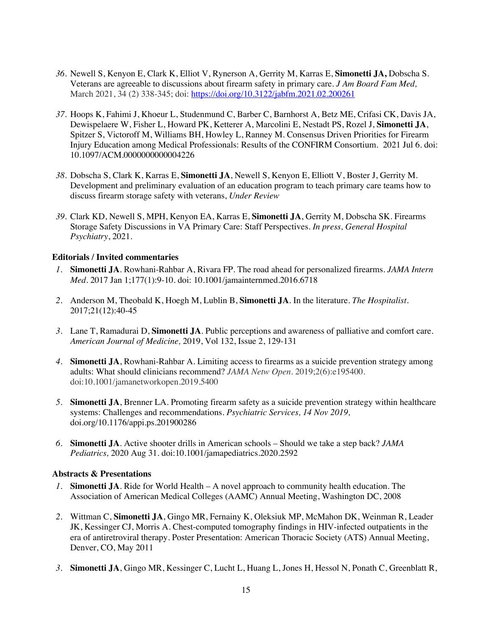- *36.* Newell S, Kenyon E, Clark K, Elliot V, Rynerson A, Gerrity M, Karras E, **Simonetti JA,** Dobscha S. Veterans are agreeable to discussions about firearm safety in primary care*. J Am Board Fam Med,*  March 2021, 34 (2) 338-345; doi: https://doi.org/10.3122/jabfm.2021.02.200261
- *37.* Hoops K, Fahimi J, Khoeur L, Studenmund C, Barber C, Barnhorst A, Betz ME, Crifasi CK, Davis JA, Dewispelaere W, Fisher L, Howard PK, Ketterer A, Marcolini E, Nestadt PS, Rozel J, **Simonetti JA**, Spitzer S, Victoroff M, Williams BH, Howley L, Ranney M. Consensus Driven Priorities for Firearm Injury Education among Medical Professionals: Results of the CONFIRM Consortium. 2021 Jul 6. doi: 10.1097/ACM.0000000000004226
- *38.* Dobscha S, Clark K, Karras E, **Simonetti JA**, Newell S, Kenyon E, Elliott V, Boster J, Gerrity M. Development and preliminary evaluation of an education program to teach primary care teams how to discuss firearm storage safety with veterans, *Under Review*
- *39.* Clark KD, Newell S, MPH, Kenyon EA, Karras E, **Simonetti JA**, Gerrity M, Dobscha SK. Firearms Storage Safety Discussions in VA Primary Care: Staff Perspectives. *In press, General Hospital Psychiatry*, 2021.

#### **Editorials / Invited commentaries**

- *1.* **Simonetti JA**. Rowhani-Rahbar A, Rivara FP. The road ahead for personalized firearms. *JAMA Intern Med*. 2017 Jan 1;177(1):9-10. doi: 10.1001/jamainternmed.2016.6718
- *2.* Anderson M, Theobald K, Hoegh M, Lublin B, **Simonetti JA**. In the literature. *The Hospitalist.*  2017;21(12):40-45
- *3.* Lane T, Ramadurai D, **Simonetti JA**. Public perceptions and awareness of palliative and comfort care. *American Journal of Medicine,* 2019, Vol 132, Issue 2, 129-131
- *4.* **Simonetti JA**, Rowhani-Rahbar A. Limiting access to firearms as a suicide prevention strategy among adults: What should clinicians recommend? *JAMA Netw Open.* 2019;2(6):e195400. doi:10.1001/jamanetworkopen.2019.5400
- *5.* **Simonetti JA**, Brenner LA. Promoting firearm safety as a suicide prevention strategy within healthcare systems: Challenges and recommendations. *Psychiatric Services, 14 Nov 2019,*  doi.org/10.1176/appi.ps.201900286
- *6.* **Simonetti JA**. Active shooter drills in American schools Should we take a step back? *JAMA Pediatrics,* 2020 Aug 31. doi:10.1001/jamapediatrics.2020.2592

#### **Abstracts & Presentations**

- *1.* **Simonetti JA**. Ride for World Health A novel approach to community health education. The Association of American Medical Colleges (AAMC) Annual Meeting, Washington DC, 2008
- *2.* Wittman C, **Simonetti JA**, Gingo MR, Fernainy K, Oleksiuk MP, McMahon DK, Weinman R, Leader JK, Kessinger CJ, Morris A. Chest-computed tomography findings in HIV-infected outpatients in the era of antiretroviral therapy. Poster Presentation: American Thoracic Society (ATS) Annual Meeting, Denver, CO, May 2011
- *3.* **Simonetti JA**, Gingo MR, Kessinger C, Lucht L, Huang L, Jones H, Hessol N, Ponath C, Greenblatt R,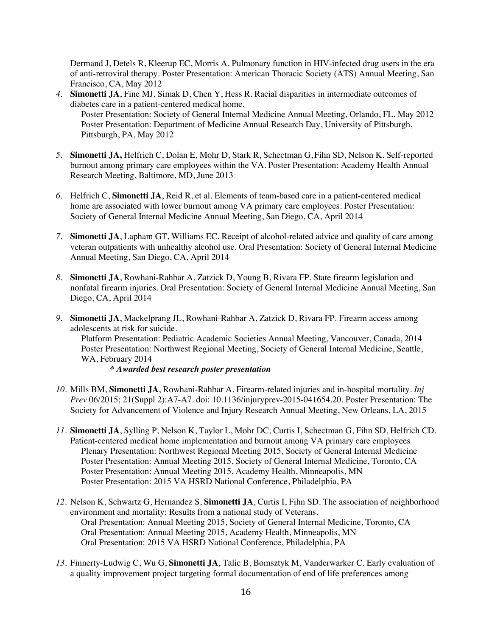Dermand J, Detels R, Kleerup EC, Morris A. Pulmonary function in HIV-infected drug users in the era of anti-retroviral therapy. Poster Presentation: American Thoracic Society (ATS) Annual Meeting, San Francisco, CA, May 2012

- *4.* **Simonetti JA**, Fine MJ, Simak D, Chen Y, Hess R. Racial disparities in intermediate outcomes of diabetes care in a patient-centered medical home. Poster Presentation: Society of General Internal Medicine Annual Meeting, Orlando, FL, May 2012 Poster Presentation: Department of Medicine Annual Research Day, University of Pittsburgh, Pittsburgh, PA, May 2012
- *5.* **Simonetti JA,** Helfrich C, Dolan E, Mohr D, Stark R, Schectman G, Fihn SD, Nelson K. Self-reported burnout among primary care employees within the VA. Poster Presentation: Academy Health Annual Research Meeting, Baltimore, MD, June 2013
- *6.* Helfrich C, **Simonetti JA**, Reid R, et al. Elements of team-based care in a patient-centered medical home are associated with lower burnout among VA primary care employees. Poster Presentation: Society of General Internal Medicine Annual Meeting, San Diego, CA, April 2014
- *7.* **Simonetti JA**, Lapham GT, Williams EC. Receipt of alcohol-related advice and quality of care among veteran outpatients with unhealthy alcohol use. Oral Presentation: Society of General Internal Medicine Annual Meeting, San Diego, CA, April 2014
- *8.* **Simonetti JA**, Rowhani-Rahbar A, Zatzick D, Young B, Rivara FP. State firearm legislation and nonfatal firearm injuries. Oral Presentation: Society of General Internal Medicine Annual Meeting, San Diego, CA, April 2014
- *9.* **Simonetti JA**, Mackelprang JL, Rowhani-Rahbar A, Zatzick D, Rivara FP. Firearm access among adolescents at risk for suicide. Platform Presentation: Pediatric Academic Societies Annual Meeting, Vancouver, Canada, 2014 Poster Presentation: Northwest Regional Meeting, Society of General Internal Medicine, Seattle, WA, February 2014 *\* Awarded best research poster presentation*
- *10.* Mills BM, **Simonetti JA**, Rowhani-Rahbar A. Firearm-related injuries and in-hospital mortality. *Inj Prev* 06/2015; 21(Suppl 2):A7-A7. doi: 10.1136/injuryprev-2015-041654.20. Poster Presentation: The Society for Advancement of Violence and Injury Research Annual Meeting, New Orleans, LA, 2015
- *11.* **Simonetti JA**, Sylling P, Nelson K, Taylor L, Mohr DC, Curtis I, Schectman G, Fihn SD, Helfrich CD. Patient-centered medical home implementation and burnout among VA primary care employees Plenary Presentation: Northwest Regional Meeting 2015, Society of General Internal Medicine Poster Presentation: Annual Meeting 2015, Society of General Internal Medicine, Toronto, CA Poster Presentation: Annual Meeting 2015, Academy Health, Minneapolis, MN Poster Presentation: 2015 VA HSRD National Conference, Philadelphia, PA
- *12.* Nelson K, Schwartz G, Hernandez S, **Simonetti JA**, Curtis I, Fihn SD. The association of neighborhood environment and mortality: Results from a national study of Veterans. Oral Presentation: Annual Meeting 2015, Society of General Internal Medicine, Toronto, CA Oral Presentation: Annual Meeting 2015, Academy Health, Minneapolis, MN Oral Presentation: 2015 VA HSRD National Conference, Philadelphia, PA
- *13.* Finnerty-Ludwig C, Wu G, **Simonetti JA**, Talic B, Bomsztyk M, Vanderwarker C. Early evaluation of a quality improvement project targeting formal documentation of end of life preferences among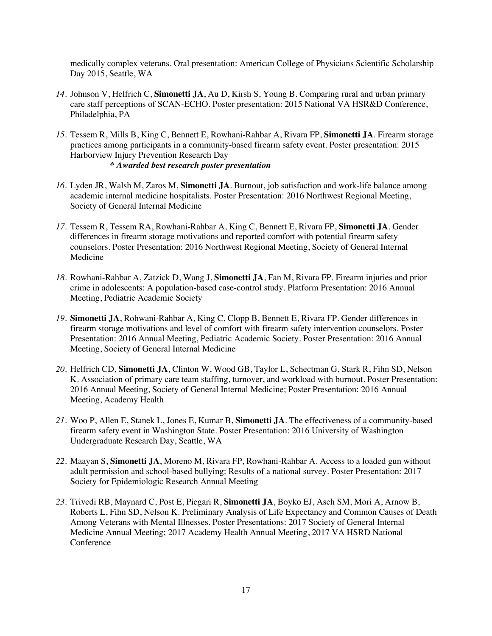medically complex veterans. Oral presentation: American College of Physicians Scientific Scholarship Day 2015, Seattle, WA

- *14.* Johnson V, Helfrich C, **Simonetti JA**, Au D, Kirsh S, Young B. Comparing rural and urban primary care staff perceptions of SCAN-ECHO. Poster presentation: 2015 National VA HSR&D Conference, Philadelphia, PA
- *15.* Tessem R, Mills B, King C, Bennett E, Rowhani-Rahbar A, Rivara FP, **Simonetti JA**. Firearm storage practices among participants in a community-based firearm safety event. Poster presentation: 2015 Harborview Injury Prevention Research Day *\* Awarded best research poster presentation*
- *16.* Lyden JR, Walsh M, Zaros M, **Simonetti JA**. Burnout, job satisfaction and work-life balance among academic internal medicine hospitalists. Poster Presentation: 2016 Northwest Regional Meeting, Society of General Internal Medicine
- *17.* Tessem R, Tessem RA, Rowhani-Rahbar A, King C, Bennett E, Rivara FP, **Simonetti JA**. Gender differences in firearm storage motivations and reported comfort with potential firearm safety counselors. Poster Presentation: 2016 Northwest Regional Meeting, Society of General Internal Medicine
- *18.* Rowhani-Rahbar A, Zatzick D, Wang J, **Simonetti JA**, Fan M, Rivara FP. Firearm injuries and prior crime in adolescents: A population-based case-control study. Platform Presentation: 2016 Annual Meeting, Pediatric Academic Society
- *19.* **Simonetti JA**, Rohwani-Rahbar A, King C, Clopp B, Bennett E, Rivara FP. Gender differences in firearm storage motivations and level of comfort with firearm safety intervention counselors. Poster Presentation: 2016 Annual Meeting, Pediatric Academic Society. Poster Presentation: 2016 Annual Meeting, Society of General Internal Medicine
- *20.* Helfrich CD, **Simonetti JA**, Clinton W, Wood GB, Taylor L, Schectman G, Stark R, Fihn SD, Nelson K. Association of primary care team staffing, turnover, and workload with burnout. Poster Presentation: 2016 Annual Meeting, Society of General Internal Medicine; Poster Presentation: 2016 Annual Meeting, Academy Health
- *21.* Woo P, Allen E, Stanek L, Jones E, Kumar B, **Simonetti JA**. The effectiveness of a community-based firearm safety event in Washington State. Poster Presentation: 2016 University of Washington Undergraduate Research Day, Seattle, WA
- *22.* Maayan S, **Simonetti JA**, Moreno M, Rivara FP, Rowhani-Rahbar A. Access to a loaded gun without adult permission and school-based bullying: Results of a national survey. Poster Presentation: 2017 Society for Epidemiologic Research Annual Meeting
- *23.* Trivedi RB, Maynard C, Post E, Piegari R, **Simonetti JA**, Boyko EJ, Asch SM, Mori A, Arnow B, Roberts L, Fihn SD, Nelson K. Preliminary Analysis of Life Expectancy and Common Causes of Death Among Veterans with Mental Illnesses. Poster Presentations: 2017 Society of General Internal Medicine Annual Meeting; 2017 Academy Health Annual Meeting, 2017 VA HSRD National Conference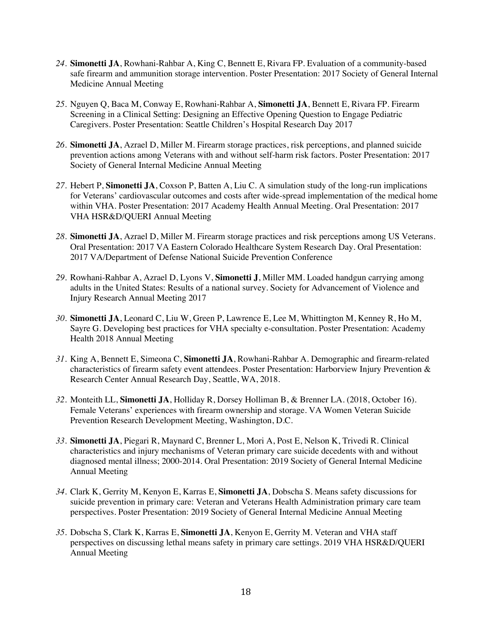- *24.* **Simonetti JA**, Rowhani-Rahbar A, King C, Bennett E, Rivara FP. Evaluation of a community-based safe firearm and ammunition storage intervention. Poster Presentation: 2017 Society of General Internal Medicine Annual Meeting
- *25.* Nguyen Q, Baca M, Conway E, Rowhani-Rahbar A, **Simonetti JA**, Bennett E, Rivara FP. Firearm Screening in a Clinical Setting: Designing an Effective Opening Question to Engage Pediatric Caregivers. Poster Presentation: Seattle Children's Hospital Research Day 2017
- *26.* **Simonetti JA**, Azrael D, Miller M. Firearm storage practices, risk perceptions, and planned suicide prevention actions among Veterans with and without self-harm risk factors. Poster Presentation: 2017 Society of General Internal Medicine Annual Meeting
- *27.* Hebert P, **Simonetti JA**, Coxson P, Batten A, Liu C. A simulation study of the long-run implications for Veterans' cardiovascular outcomes and costs after wide-spread implementation of the medical home within VHA. Poster Presentation: 2017 Academy Health Annual Meeting. Oral Presentation: 2017 VHA HSR&D/QUERI Annual Meeting
- *28.* **Simonetti JA**, Azrael D, Miller M. Firearm storage practices and risk perceptions among US Veterans. Oral Presentation: 2017 VA Eastern Colorado Healthcare System Research Day. Oral Presentation: 2017 VA/Department of Defense National Suicide Prevention Conference
- *29.* Rowhani-Rahbar A, Azrael D, Lyons V, **Simonetti J**, Miller MM. Loaded handgun carrying among adults in the United States: Results of a national survey. Society for Advancement of Violence and Injury Research Annual Meeting 2017
- *30.* **Simonetti JA**, Leonard C, Liu W, Green P, Lawrence E, Lee M, Whittington M, Kenney R, Ho M, Sayre G. Developing best practices for VHA specialty e-consultation. Poster Presentation: Academy Health 2018 Annual Meeting
- *31.* King A, Bennett E, Simeona C, **Simonetti JA**, Rowhani-Rahbar A. Demographic and firearm-related characteristics of firearm safety event attendees. Poster Presentation: Harborview Injury Prevention & Research Center Annual Research Day, Seattle, WA, 2018.
- *32.* Monteith LL, **Simonetti JA**, Holliday R, Dorsey Holliman B, & Brenner LA. (2018, October 16). Female Veterans' experiences with firearm ownership and storage. VA Women Veteran Suicide Prevention Research Development Meeting, Washington, D.C.
- *33.* **Simonetti JA**, Piegari R, Maynard C, Brenner L, Mori A, Post E, Nelson K, Trivedi R. Clinical characteristics and injury mechanisms of Veteran primary care suicide decedents with and without diagnosed mental illness; 2000-2014. Oral Presentation: 2019 Society of General Internal Medicine Annual Meeting
- *34.* Clark K, Gerrity M, Kenyon E, Karras E, **Simonetti JA**, Dobscha S. Means safety discussions for suicide prevention in primary care: Veteran and Veterans Health Administration primary care team perspectives. Poster Presentation: 2019 Society of General Internal Medicine Annual Meeting
- *35.* Dobscha S, Clark K, Karras E, **Simonetti JA**, Kenyon E, Gerrity M. Veteran and VHA staff perspectives on discussing lethal means safety in primary care settings. 2019 VHA HSR&D/QUERI Annual Meeting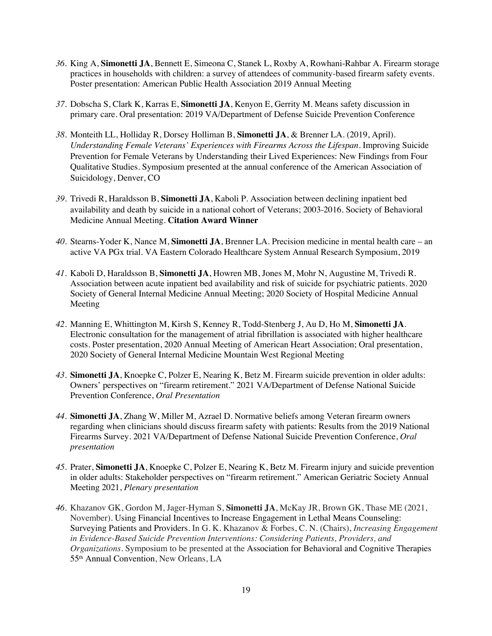- *36.* King A, **Simonetti JA**, Bennett E, Simeona C, Stanek L, Roxby A, Rowhani-Rahbar A. Firearm storage practices in households with children: a survey of attendees of community-based firearm safety events. Poster presentation: American Public Health Association 2019 Annual Meeting
- *37.* Dobscha S, Clark K, Karras E, **Simonetti JA**, Kenyon E, Gerrity M. Means safety discussion in primary care. Oral presentation: 2019 VA/Department of Defense Suicide Prevention Conference
- *38.* Monteith LL, Holliday R, Dorsey Holliman B, **Simonetti JA**, & Brenner LA. (2019, April). *Understanding Female Veterans' Experiences with Firearms Across the Lifespan.* Improving Suicide Prevention for Female Veterans by Understanding their Lived Experiences: New Findings from Four Qualitative Studies. Symposium presented at the annual conference of the American Association of Suicidology, Denver, CO
- *39.* Trivedi R, Haraldsson B, **Simonetti JA**, Kaboli P. Association between declining inpatient bed availability and death by suicide in a national cohort of Veterans; 2003-2016. Society of Behavioral Medicine Annual Meeting. **Citation Award Winner**
- *40.* Stearns-Yoder K, Nance M, **Simonetti JA**, Brenner LA. Precision medicine in mental health care an active VA PGx trial. VA Eastern Colorado Healthcare System Annual Research Symposium, 2019
- *41.* Kaboli D, Haraldsson B, **Simonetti JA**, Howren MB, Jones M, Mohr N, Augustine M, Trivedi R. Association between acute inpatient bed availability and risk of suicide for psychiatric patients. 2020 Society of General Internal Medicine Annual Meeting; 2020 Society of Hospital Medicine Annual Meeting
- *42.* Manning E, Whittington M, Kirsh S, Kenney R, Todd-Stenberg J, Au D, Ho M, **Simonetti JA**. Electronic consultation for the management of atrial fibrillation is associated with higher healthcare costs. Poster presentation, 2020 Annual Meeting of American Heart Association; Oral presentation, 2020 Society of General Internal Medicine Mountain West Regional Meeting
- *43.* **Simonetti JA**, Knoepke C, Polzer E, Nearing K, Betz M. Firearm suicide prevention in older adults: Owners' perspectives on "firearm retirement." 2021 VA/Department of Defense National Suicide Prevention Conference, *Oral Presentation*
- *44.* **Simonetti JA**, Zhang W, Miller M, Azrael D. Normative beliefs among Veteran firearm owners regarding when clinicians should discuss firearm safety with patients: Results from the 2019 National Firearms Survey. 2021 VA/Department of Defense National Suicide Prevention Conference, *Oral presentation*
- *45.* Prater, **Simonetti JA**, Knoepke C, Polzer E, Nearing K, Betz M. Firearm injury and suicide prevention in older adults: Stakeholder perspectives on "firearm retirement." American Geriatric Society Annual Meeting 2021, *Plenary presentation*
- *46.* Khazanov GK, Gordon M, Jager-Hyman S, **Simonetti JA**, McKay JR, Brown GK, Thase ME (2021, November). Using Financial Incentives to Increase Engagement in Lethal Means Counseling: Surveying Patients and Providers. In G. K. Khazanov & Forbes, C. N. (Chairs), *Increasing Engagement in Evidence-Based Suicide Prevention Interventions: Considering Patients, Providers, and Organizations*. Symposium to be presented at the Association for Behavioral and Cognitive Therapies 55th Annual Convention, New Orleans, LA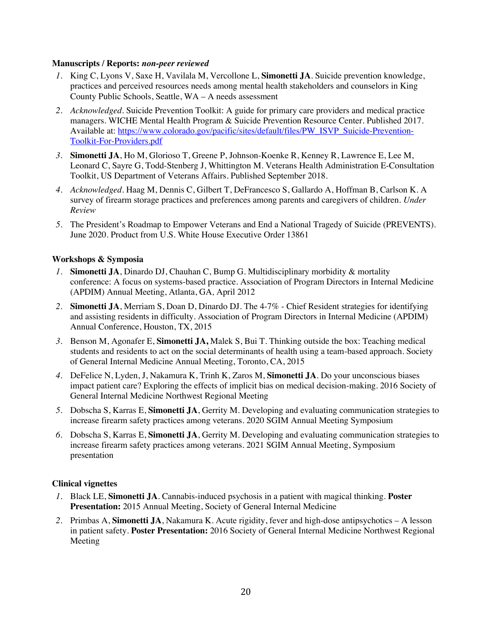#### **Manuscripts / Reports:** *non-peer reviewed*

- *1.* King C, Lyons V, Saxe H, Vavilala M, Vercollone L, **Simonetti JA**. Suicide prevention knowledge, practices and perceived resources needs among mental health stakeholders and counselors in King County Public Schools, Seattle, WA – A needs assessment
- *2. Acknowledged*. Suicide Prevention Toolkit: A guide for primary care providers and medical practice managers. WICHE Mental Health Program & Suicide Prevention Resource Center. Published 2017. Available at: https://www.colorado.gov/pacific/sites/default/files/PW\_ISVP\_Suicide-Prevention-Toolkit-For-Providers.pdf
- *3.* **Simonetti JA**, Ho M, Glorioso T, Greene P, Johnson-Koenke R, Kenney R, Lawrence E, Lee M, Leonard C, Sayre G, Todd-Stenberg J, Whittington M. Veterans Health Administration E-Consultation Toolkit, US Department of Veterans Affairs. Published September 2018.
- *4. Acknowledged.* Haag M, Dennis C, Gilbert T, DeFrancesco S, Gallardo A, Hoffman B, Carlson K. A survey of firearm storage practices and preferences among parents and caregivers of children. *Under Review*
- *5.* The President's Roadmap to Empower Veterans and End a National Tragedy of Suicide (PREVENTS). June 2020. Product from U.S. White House Executive Order 13861

#### **Workshops & Symposia**

- *1.* **Simonetti JA**, Dinardo DJ, Chauhan C, Bump G. Multidisciplinary morbidity & mortality conference: A focus on systems-based practice. Association of Program Directors in Internal Medicine (APDIM) Annual Meeting, Atlanta, GA*,* April 2012
- *2.* **Simonetti JA**, Merriam S, Doan D, Dinardo DJ. The 4-7% Chief Resident strategies for identifying and assisting residents in difficulty. Association of Program Directors in Internal Medicine (APDIM) Annual Conference, Houston, TX, 2015
- *3.* Benson M, Agonafer E, **Simonetti JA,** Malek S, Bui T. Thinking outside the box: Teaching medical students and residents to act on the social determinants of health using a team-based approach. Society of General Internal Medicine Annual Meeting, Toronto, CA, 2015
- *4.* DeFelice N, Lyden, J, Nakamura K, Trinh K, Zaros M, **Simonetti JA**. Do your unconscious biases impact patient care? Exploring the effects of implicit bias on medical decision-making. 2016 Society of General Internal Medicine Northwest Regional Meeting
- *5.* Dobscha S, Karras E, **Simonetti JA**, Gerrity M. Developing and evaluating communication strategies to increase firearm safety practices among veterans. 2020 SGIM Annual Meeting Symposium
- *6.* Dobscha S, Karras E, **Simonetti JA**, Gerrity M. Developing and evaluating communication strategies to increase firearm safety practices among veterans. 2021 SGIM Annual Meeting, Symposium presentation

#### **Clinical vignettes**

- *1.* Black LE, **Simonetti JA**. Cannabis-induced psychosis in a patient with magical thinking. **Poster Presentation:** 2015 Annual Meeting, Society of General Internal Medicine
- *2.* Primbas A, **Simonetti JA**, Nakamura K. Acute rigidity, fever and high-dose antipsychotics A lesson in patient safety. **Poster Presentation:** 2016 Society of General Internal Medicine Northwest Regional Meeting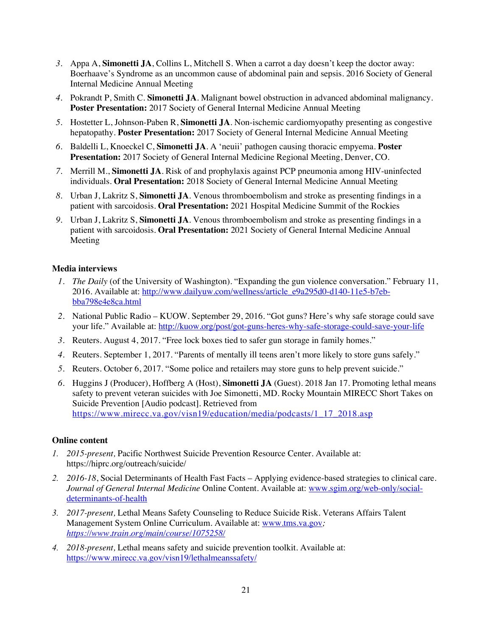- *3.* Appa A, **Simonetti JA**, Collins L, Mitchell S. When a carrot a day doesn't keep the doctor away: Boerhaave's Syndrome as an uncommon cause of abdominal pain and sepsis. 2016 Society of General Internal Medicine Annual Meeting
- *4.* Pokrandt P, Smith C. **Simonetti JA**. Malignant bowel obstruction in advanced abdominal malignancy. **Poster Presentation:** 2017 Society of General Internal Medicine Annual Meeting
- *5.* Hostetter L, Johnson-Paben R, **Simonetti JA**. Non-ischemic cardiomyopathy presenting as congestive hepatopathy. **Poster Presentation:** 2017 Society of General Internal Medicine Annual Meeting
- *6.* Baldelli L, Knoeckel C, **Simonetti JA**. A 'neuii' pathogen causing thoracic empyema. **Poster Presentation:** 2017 Society of General Internal Medicine Regional Meeting, Denver, CO.
- *7.* Merrill M., **Simonetti JA**. Risk of and prophylaxis against PCP pneumonia among HIV-uninfected individuals. **Oral Presentation:** 2018 Society of General Internal Medicine Annual Meeting
- *8.* Urban J, Lakritz S, **Simonetti JA**. Venous thromboembolism and stroke as presenting findings in a patient with sarcoidosis. **Oral Presentation:** 2021 Hospital Medicine Summit of the Rockies
- *9.* Urban J, Lakritz S, **Simonetti JA**. Venous thromboembolism and stroke as presenting findings in a patient with sarcoidosis. **Oral Presentation:** 2021 Society of General Internal Medicine Annual Meeting

#### **Media interviews**

- *1. The Daily* (of the University of Washington). "Expanding the gun violence conversation." February 11, 2016. Available at: http://www.dailyuw.com/wellness/article\_e9a295d0-d140-11e5-b7ebbba798e4e8ca.html
- *2.* National Public Radio KUOW. September 29, 2016. "Got guns? Here's why safe storage could save your life." Available at: http://kuow.org/post/got-guns-heres-why-safe-storage-could-save-your-life
- *3.* Reuters. August 4, 2017. "Free lock boxes tied to safer gun storage in family homes."
- *4.* Reuters. September 1, 2017. "Parents of mentally ill teens aren't more likely to store guns safely."
- *5.* Reuters. October 6, 2017. "Some police and retailers may store guns to help prevent suicide."
- *6.* Huggins J (Producer), Hoffberg A (Host), **Simonetti JA** (Guest). 2018 Jan 17. Promoting lethal means safety to prevent veteran suicides with Joe Simonetti, MD. Rocky Mountain MIRECC Short Takes on Suicide Prevention [Audio podcast]. Retrieved from https://www.mirecc.va.gov/visn19/education/media/podcasts/1\_17\_2018.asp

#### **Online content**

- *1. 2015-present,* Pacific Northwest Suicide Prevention Resource Center. Available at: https://hiprc.org/outreach/suicide/
- *2. 2016-18*, Social Determinants of Health Fast Facts Applying evidence-based strategies to clinical care. *Journal of General Internal Medicine* Online Content. Available at: www.sgim.org/web-only/socialdeterminants-of-health
- *3. 2017-present,* Lethal Means Safety Counseling to Reduce Suicide Risk*.* Veterans Affairs Talent Management System Online Curriculum. Available at: www.tms.va.gov*; https://www.train.org/main/course/1075258/*
- *4. 2018-present,* Lethal means safety and suicide prevention toolkit. Available at: https://www.mirecc.va.gov/visn19/lethalmeanssafety/